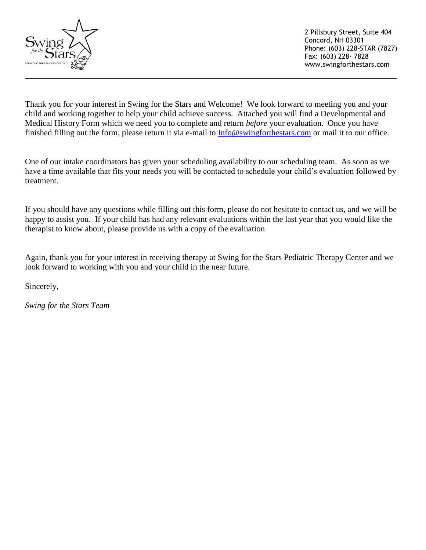

Thank you for your interest in Swing for the Stars and Welcome! We look forward to meeting you and your child and working together to help your child achieve success. Attached you will find a Developmental and Medical History Form which we need you to complete and return *before* your evaluation. Once you have finished filling out the form, please return it via e-mail to [Info@swingforthestars.com](mailto:Info@swingforthestars.com) or mail it to our office.

One of our intake coordinators has given your scheduling availability to our scheduling team. As soon as we have a time available that fits your needs you will be contacted to schedule your child's evaluation followed by treatment.

If you should have any questions while filling out this form, please do not hesitate to contact us, and we will be happy to assist you. If your child has had any relevant evaluations within the last year that you would like the therapist to know about, please provide us with a copy of the evaluation

Again, thank you for your interest in receiving therapy at Swing for the Stars Pediatric Therapy Center and we look forward to working with you and your child in the near future.

Sincerely,

*Swing for the Stars Team*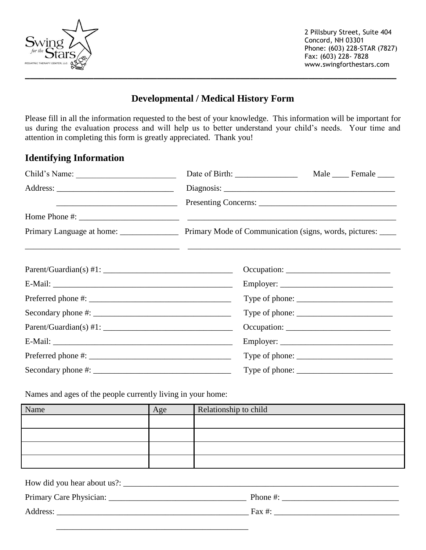

 2 Pillsbury Street, Suite 404 Concord, NH 03301 Phone: (603) 228-STAR (7827) Fax: (603) 228- 7828 www.swingforthestars.com

# **Developmental / Medical History Form**

Please fill in all the information requested to the best of your knowledge. This information will be important for us during the evaluation process and will help us to better understand your child's needs. Your time and attention in completing this form is greatly appreciated. Thank you!

### **Identifying Information**

| Child's Name:                                                                                                                                                                                                                                                                                                  |                                                                                                                                                                                                                                                                                                                                                                                                                 | Male ______ Female _____ |
|----------------------------------------------------------------------------------------------------------------------------------------------------------------------------------------------------------------------------------------------------------------------------------------------------------------|-----------------------------------------------------------------------------------------------------------------------------------------------------------------------------------------------------------------------------------------------------------------------------------------------------------------------------------------------------------------------------------------------------------------|--------------------------|
|                                                                                                                                                                                                                                                                                                                |                                                                                                                                                                                                                                                                                                                                                                                                                 |                          |
| <u> Alexandro Alexandro Alexandro Alexandro Alexandro Alexandro Alexandro Alexandro Alexandro Alexandro Alexandro </u>                                                                                                                                                                                         |                                                                                                                                                                                                                                                                                                                                                                                                                 |                          |
|                                                                                                                                                                                                                                                                                                                |                                                                                                                                                                                                                                                                                                                                                                                                                 |                          |
|                                                                                                                                                                                                                                                                                                                | Primary Mode of Communication (signs, words, pictures: _____                                                                                                                                                                                                                                                                                                                                                    |                          |
|                                                                                                                                                                                                                                                                                                                |                                                                                                                                                                                                                                                                                                                                                                                                                 |                          |
|                                                                                                                                                                                                                                                                                                                |                                                                                                                                                                                                                                                                                                                                                                                                                 |                          |
|                                                                                                                                                                                                                                                                                                                | Employer:                                                                                                                                                                                                                                                                                                                                                                                                       |                          |
| $Preferred phone #: ____________$                                                                                                                                                                                                                                                                              | Type of phone: $\frac{1}{\sqrt{1-\frac{1}{2}}}\left\{ \frac{1}{2}, \frac{1}{2}, \frac{1}{2}, \frac{1}{2}, \frac{1}{2}, \frac{1}{2}, \frac{1}{2}, \frac{1}{2}, \frac{1}{2}, \frac{1}{2}, \frac{1}{2}, \frac{1}{2}, \frac{1}{2}, \frac{1}{2}, \frac{1}{2}, \frac{1}{2}, \frac{1}{2}, \frac{1}{2}, \frac{1}{2}, \frac{1}{2}, \frac{1}{2}, \frac{1}{2}, \frac{1}{2}, \frac{1}{2}, \frac{1}{2}, \frac{1}{2}, \frac{$ |                          |
|                                                                                                                                                                                                                                                                                                                | Type of phone: $\sqrt{\frac{2}{1-\frac{1}{2}} \cdot \frac{1}{2-\frac{1}{2}} \cdot \frac{1}{2-\frac{1}{2}} \cdot \frac{1}{2-\frac{1}{2}}}$                                                                                                                                                                                                                                                                       |                          |
|                                                                                                                                                                                                                                                                                                                |                                                                                                                                                                                                                                                                                                                                                                                                                 |                          |
|                                                                                                                                                                                                                                                                                                                |                                                                                                                                                                                                                                                                                                                                                                                                                 |                          |
|                                                                                                                                                                                                                                                                                                                |                                                                                                                                                                                                                                                                                                                                                                                                                 |                          |
| Secondary phone #: $\frac{1}{2}$ $\frac{1}{2}$ $\frac{1}{2}$ $\frac{1}{2}$ $\frac{1}{2}$ $\frac{1}{2}$ $\frac{1}{2}$ $\frac{1}{2}$ $\frac{1}{2}$ $\frac{1}{2}$ $\frac{1}{2}$ $\frac{1}{2}$ $\frac{1}{2}$ $\frac{1}{2}$ $\frac{1}{2}$ $\frac{1}{2}$ $\frac{1}{2}$ $\frac{1}{2}$ $\frac{1}{2}$ $\frac{1}{2}$ $\$ |                                                                                                                                                                                                                                                                                                                                                                                                                 |                          |

Names and ages of the people currently living in your home:

| Name | Age | Relationship to child |
|------|-----|-----------------------|
|      |     |                       |
|      |     |                       |
|      |     |                       |
|      |     |                       |

| How did you hear about us?: |              |
|-----------------------------|--------------|
|                             | Phone $\#$ : |
| Address:                    | Fax #:       |
|                             |              |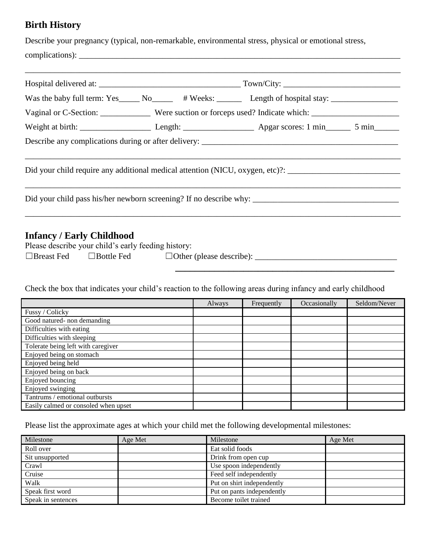#### **Birth History**

Describe your pregnancy (typical, non-remarkable, environmental stress, physical or emotional stress,

 $compleations):$ 

|                                                                                         | Was the baby full term: Yes_____ No_____ # Weeks: ______ Length of hospital stay: _________________            |  |  |
|-----------------------------------------------------------------------------------------|----------------------------------------------------------------------------------------------------------------|--|--|
|                                                                                         | Vaginal or C-Section: _____________ Were suction or forceps used? Indicate which: _________________            |  |  |
|                                                                                         |                                                                                                                |  |  |
|                                                                                         |                                                                                                                |  |  |
|                                                                                         |                                                                                                                |  |  |
|                                                                                         | Did your child require any additional medical attention (NICU, oxygen, etc)?: ________________________________ |  |  |
|                                                                                         |                                                                                                                |  |  |
|                                                                                         |                                                                                                                |  |  |
|                                                                                         |                                                                                                                |  |  |
|                                                                                         |                                                                                                                |  |  |
| <b>Infancy / Early Childhood</b><br>Please describe your child's early feeding history: |                                                                                                                |  |  |

☐Breast Fed ☐Bottle Fed ☐Other (please describe): \_\_\_\_\_\_\_\_\_\_\_\_\_\_\_\_\_\_\_\_\_\_\_\_\_\_\_\_\_\_\_\_\_\_

**\_\_\_\_\_\_\_\_\_\_\_\_\_\_\_\_\_\_\_\_\_\_\_\_\_\_\_\_\_\_\_\_\_\_\_\_\_\_\_\_\_\_\_\_\_**

Check the box that indicates your child's reaction to the following areas during infancy and early childhood

|                                      | Always | Frequently | Occasionally | Seldom/Never |
|--------------------------------------|--------|------------|--------------|--------------|
| Fussy / Colicky                      |        |            |              |              |
| Good natured- non demanding          |        |            |              |              |
| Difficulties with eating             |        |            |              |              |
| Difficulties with sleeping           |        |            |              |              |
| Tolerate being left with caregiver   |        |            |              |              |
| Enjoyed being on stomach             |        |            |              |              |
| Enjoyed being held                   |        |            |              |              |
| Enjoyed being on back                |        |            |              |              |
| Enjoyed bouncing                     |        |            |              |              |
| Enjoyed swinging                     |        |            |              |              |
| Tantrums / emotional outbursts       |        |            |              |              |
| Easily calmed or consoled when upset |        |            |              |              |

Please list the approximate ages at which your child met the following developmental milestones:

| Milestone          | Age Met | Milestone                  | Age Met |
|--------------------|---------|----------------------------|---------|
| Roll over          |         | Eat solid foods            |         |
| Sit unsupported    |         | Drink from open cup        |         |
| Crawl              |         | Use spoon independently    |         |
| Cruise             |         | Feed self independently    |         |
| Walk               |         | Put on shirt independently |         |
| Speak first word   |         | Put on pants independently |         |
| Speak in sentences |         | Become toilet trained      |         |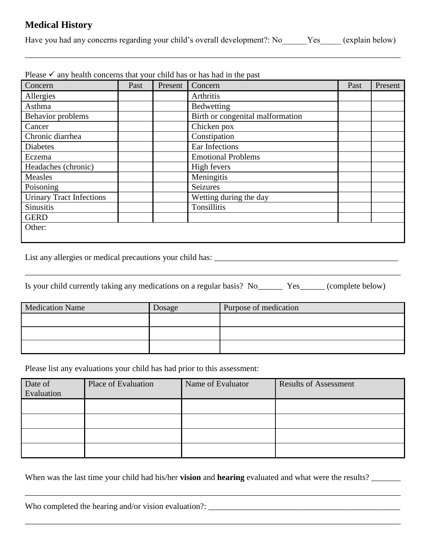### **Medical History**

Have you had any concerns regarding your child's overall development?: No Yes\_\_\_\_\_ (explain below)

\_\_\_\_\_\_\_\_\_\_\_\_\_\_\_\_\_\_\_\_\_\_\_\_\_\_\_\_\_\_\_\_\_\_\_\_\_\_\_\_\_\_\_\_\_\_\_\_\_\_\_\_\_\_\_\_\_\_\_\_\_\_\_\_\_\_\_\_\_\_\_\_\_\_\_\_\_\_\_\_\_\_\_\_\_\_\_\_\_\_

| Concern                         | Past | Present | Concern                          | Past | Present |
|---------------------------------|------|---------|----------------------------------|------|---------|
| Allergies                       |      |         | Arthritis                        |      |         |
| Asthma                          |      |         | Bedwetting                       |      |         |
| Behavior problems               |      |         | Birth or congenital malformation |      |         |
| Cancer                          |      |         | Chicken pox                      |      |         |
| Chronic diarrhea                |      |         | Constipation                     |      |         |
| <b>Diabetes</b>                 |      |         | Ear Infections                   |      |         |
| Eczema                          |      |         | <b>Emotional Problems</b>        |      |         |
| Headaches (chronic)             |      |         | High fevers                      |      |         |
| Measles                         |      |         | Meningitis                       |      |         |
| Poisoning                       |      |         | <b>Seizures</b>                  |      |         |
| <b>Urinary Tract Infections</b> |      |         | Wetting during the day           |      |         |
| Sinusitis                       |      |         | Tonsillitis                      |      |         |
| <b>GERD</b>                     |      |         |                                  |      |         |
| Other:                          |      |         |                                  |      |         |

 $P_{0.989}$  any health concerns that your child has or has had in the past

List any allergies or medical precautions your child has: \_\_\_\_\_\_\_\_\_\_\_\_\_\_\_\_\_\_\_\_\_\_\_\_\_\_\_\_\_\_\_\_\_\_\_\_\_\_\_\_\_\_\_\_

Is your child currently taking any medications on a regular basis? No\_\_\_\_\_\_ Yes\_\_\_\_\_\_ (complete below)

\_\_\_\_\_\_\_\_\_\_\_\_\_\_\_\_\_\_\_\_\_\_\_\_\_\_\_\_\_\_\_\_\_\_\_\_\_\_\_\_\_\_\_\_\_\_\_\_\_\_\_\_\_\_\_\_\_\_\_\_\_\_\_\_\_\_\_\_\_\_\_\_\_\_\_\_\_\_\_\_\_\_\_\_\_\_\_\_\_\_

| <b>Medication Name</b> | <b>Josage</b> | Purpose of medication |
|------------------------|---------------|-----------------------|
|                        |               |                       |
|                        |               |                       |
|                        |               |                       |

Please list any evaluations your child has had prior to this assessment:

| Date of<br>Evaluation | Place of Evaluation | Name of Evaluator | <b>Results of Assessment</b> |
|-----------------------|---------------------|-------------------|------------------------------|
|                       |                     |                   |                              |
|                       |                     |                   |                              |
|                       |                     |                   |                              |
|                       |                     |                   |                              |

When was the last time your child had his/her **vision** and **hearing** evaluated and what were the results? \_\_\_\_\_\_\_

\_\_\_\_\_\_\_\_\_\_\_\_\_\_\_\_\_\_\_\_\_\_\_\_\_\_\_\_\_\_\_\_\_\_\_\_\_\_\_\_\_\_\_\_\_\_\_\_\_\_\_\_\_\_\_\_\_\_\_\_\_\_\_\_\_\_\_\_\_\_\_\_\_\_\_\_\_\_\_\_\_\_\_\_\_\_\_\_\_\_

\_\_\_\_\_\_\_\_\_\_\_\_\_\_\_\_\_\_\_\_\_\_\_\_\_\_\_\_\_\_\_\_\_\_\_\_\_\_\_\_\_\_\_\_\_\_\_\_\_\_\_\_\_\_\_\_\_\_\_\_\_\_\_\_\_\_\_\_\_\_\_\_\_\_\_\_\_\_\_\_\_\_\_\_\_\_\_\_\_\_

| Who completed the hearing and/or vision evaluation?: |  |  |
|------------------------------------------------------|--|--|
|                                                      |  |  |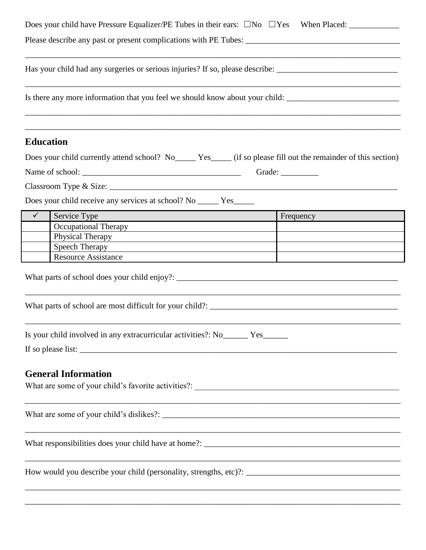|                  | Has your child had any surgeries or serious injuries? If so, please describe: ________________________________                                     |           |
|------------------|----------------------------------------------------------------------------------------------------------------------------------------------------|-----------|
|                  | Is there any more information that you feel we should know about your child: _________________________________                                     |           |
| <b>Education</b> |                                                                                                                                                    |           |
|                  | Does your child currently attend school? No_______ Yes______ (if so please fill out the remainder of this section)                                 |           |
|                  |                                                                                                                                                    |           |
|                  |                                                                                                                                                    |           |
|                  | Does your child receive any services at school? No ______ Yes_____                                                                                 |           |
| $\checkmark$     | Service Type                                                                                                                                       | Frequency |
|                  | Occupational Therapy                                                                                                                               |           |
|                  | Physical Therapy <b>Exercise 2</b> Physical Therapy<br>Speech Therapy                                                                              |           |
|                  | <u> 1989 - Andrea Barbara, amerikan personal dan personal dan personal dan personal dan personal dan personal da</u><br><b>Resource Assistance</b> |           |
|                  |                                                                                                                                                    |           |
|                  | Is your child involved in any extracurricular activities?: No Yes                                                                                  |           |
|                  | <b>General Information</b>                                                                                                                         |           |
|                  |                                                                                                                                                    |           |
|                  |                                                                                                                                                    |           |
|                  |                                                                                                                                                    |           |
|                  |                                                                                                                                                    |           |

\_\_\_\_\_\_\_\_\_\_\_\_\_\_\_\_\_\_\_\_\_\_\_\_\_\_\_\_\_\_\_\_\_\_\_\_\_\_\_\_\_\_\_\_\_\_\_\_\_\_\_\_\_\_\_\_\_\_\_\_\_\_\_\_\_\_\_\_\_\_\_\_\_\_\_\_\_\_\_\_\_\_\_\_\_\_\_\_\_\_